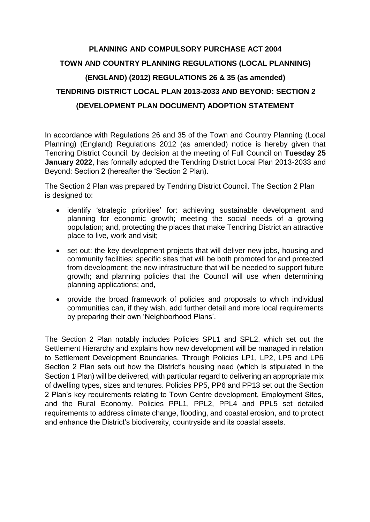## **PLANNING AND COMPULSORY PURCHASE ACT 2004 TOWN AND COUNTRY PLANNING REGULATIONS (LOCAL PLANNING) (ENGLAND) (2012) REGULATIONS 26 & 35 (as amended) TENDRING DISTRICT LOCAL PLAN 2013-2033 AND BEYOND: SECTION 2 (DEVELOPMENT PLAN DOCUMENT) ADOPTION STATEMENT**

In accordance with Regulations 26 and 35 of the Town and Country Planning (Local Planning) (England) Regulations 2012 (as amended) notice is hereby given that Tendring District Council, by decision at the meeting of Full Council on **Tuesday 25 January 2022**, has formally adopted the Tendring District Local Plan 2013-2033 and Beyond: Section 2 (hereafter the 'Section 2 Plan).

The Section 2 Plan was prepared by Tendring District Council. The Section 2 Plan is designed to:

- identify 'strategic priorities' for: achieving sustainable development and planning for economic growth; meeting the social needs of a growing population; and, protecting the places that make Tendring District an attractive place to live, work and visit;
- set out: the key development projects that will deliver new jobs, housing and community facilities; specific sites that will be both promoted for and protected from development; the new infrastructure that will be needed to support future growth; and planning policies that the Council will use when determining planning applications; and,
- provide the broad framework of policies and proposals to which individual communities can, if they wish, add further detail and more local requirements by preparing their own 'Neighborhood Plans'.

The Section 2 Plan notably includes Policies SPL1 and SPL2, which set out the Settlement Hierarchy and explains how new development will be managed in relation to Settlement Development Boundaries. Through Policies LP1, LP2, LP5 and LP6 Section 2 Plan sets out how the District's housing need (which is stipulated in the Section 1 Plan) will be delivered, with particular regard to delivering an appropriate mix of dwelling types, sizes and tenures. Policies PP5, PP6 and PP13 set out the Section 2 Plan's key requirements relating to Town Centre development, Employment Sites, and the Rural Economy. Policies PPL1, PPL2, PPL4 and PPL5 set detailed requirements to address climate change, flooding, and coastal erosion, and to protect and enhance the District's biodiversity, countryside and its coastal assets.